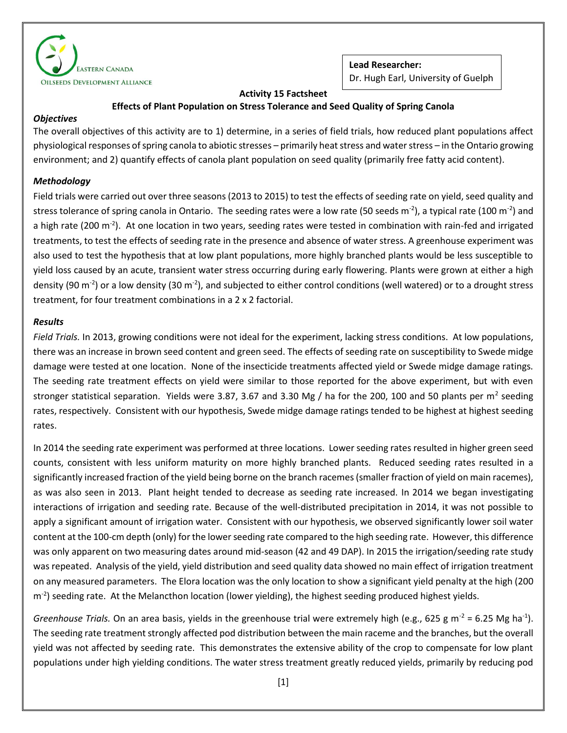

**Lead Researcher:** Dr. Hugh Earl, University of Guelph

## **Activity 15 Factsheet**

# **Effects of Plant Population on Stress Tolerance and Seed Quality of Spring Canola**

#### *Objectives*

The overall objectives of this activity are to 1) determine, in a series of field trials, how reduced plant populations affect physiological responses of spring canola to abiotic stresses – primarily heat stress and water stress – in the Ontario growing environment; and 2) quantify effects of canola plant population on seed quality (primarily free fatty acid content).

## *Methodology*

Field trials were carried out over three seasons (2013 to 2015) to test the effects of seeding rate on yield, seed quality and stress tolerance of spring canola in Ontario. The seeding rates were a low rate (50 seeds m<sup>-2</sup>), a typical rate (100 m<sup>-2</sup>) and a high rate (200 m<sup>-2</sup>). At one location in two years, seeding rates were tested in combination with rain-fed and irrigated treatments, to test the effects of seeding rate in the presence and absence of water stress. A greenhouse experiment was also used to test the hypothesis that at low plant populations, more highly branched plants would be less susceptible to yield loss caused by an acute, transient water stress occurring during early flowering. Plants were grown at either a high density (90 m<sup>-2</sup>) or a low density (30 m<sup>-2</sup>), and subjected to either control conditions (well watered) or to a drought stress treatment, for four treatment combinations in a 2 x 2 factorial.

### *Results*

*Field Trials.* In 2013, growing conditions were not ideal for the experiment, lacking stress conditions. At low populations, there was an increase in brown seed content and green seed. The effects of seeding rate on susceptibility to Swede midge damage were tested at one location. None of the insecticide treatments affected yield or Swede midge damage ratings. The seeding rate treatment effects on yield were similar to those reported for the above experiment, but with even stronger statistical separation. Yields were 3.87, 3.67 and 3.30 Mg / ha for the 200, 100 and 50 plants per m<sup>2</sup> seeding rates, respectively. Consistent with our hypothesis, Swede midge damage ratings tended to be highest at highest seeding rates.

In 2014 the seeding rate experiment was performed at three locations. Lower seeding rates resulted in higher green seed counts, consistent with less uniform maturity on more highly branched plants. Reduced seeding rates resulted in a significantly increased fraction of the yield being borne on the branch racemes (smaller fraction of yield on main racemes), as was also seen in 2013. Plant height tended to decrease as seeding rate increased. In 2014 we began investigating interactions of irrigation and seeding rate. Because of the well-distributed precipitation in 2014, it was not possible to apply a significant amount of irrigation water. Consistent with our hypothesis, we observed significantly lower soil water content at the 100-cm depth (only) for the lower seeding rate compared to the high seeding rate. However, this difference was only apparent on two measuring dates around mid-season (42 and 49 DAP). In 2015 the irrigation/seeding rate study was repeated. Analysis of the yield, yield distribution and seed quality data showed no main effect of irrigation treatment on any measured parameters. The Elora location was the only location to show a significant yield penalty at the high (200 m<sup>-2</sup>) seeding rate. At the Melancthon location (lower yielding), the highest seeding produced highest yields.

Greenhouse Trials. On an area basis, yields in the greenhouse trial were extremely high (e.g., 625 g m<sup>-2</sup> = 6.25 Mg ha<sup>-1</sup>). The seeding rate treatment strongly affected pod distribution between the main raceme and the branches, but the overall yield was not affected by seeding rate. This demonstrates the extensive ability of the crop to compensate for low plant populations under high yielding conditions. The water stress treatment greatly reduced yields, primarily by reducing pod